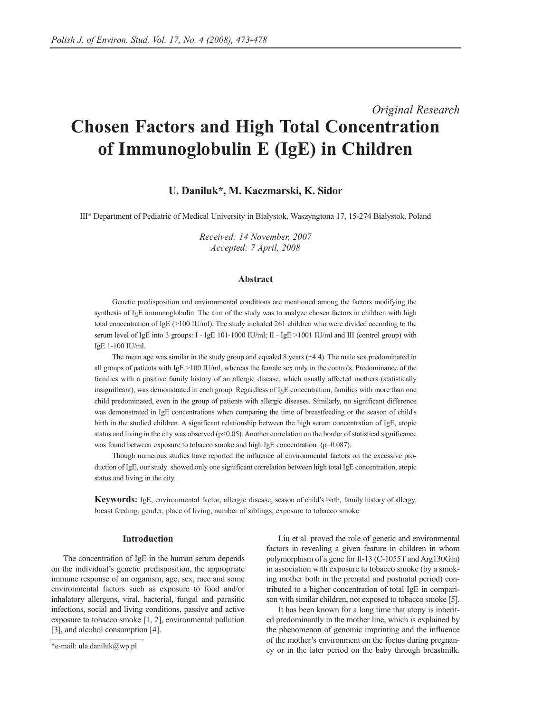# *Original Research* **Chosen Factors and High Total Concentration of Immunoglobulin E (IgE) in Children**

# **U. Daniluk\*, M. Kaczmarski, K. Sidor**

IIIrd Department of Pediatric of Medical University in Białystok, Waszyngtona 17, 15-274 Białystok, Poland

*Received: 14 November, 2007 Accepted: 7 April, 2008*

#### **Abstract**

Genetic predisposition and environmental conditions are mentioned among the factors modifying the synthesis of IgE immunoglobulin. The aim of the study was to analyze chosen factors in children with high total concentration of IgE (>100 IU/ml). The study included 261 children who were divided according to the serum level of IgE into 3 groups: I - IgE  $101-1000$  IU/ml; II - IgE  $>1001$  IU/ml and III (control group) with IgE 1-100 IU/ml.

The mean age was similar in the study group and equaled 8 years  $(\pm 4.4)$ . The male sex predominated in all groups of patients with  $IgE > 100$  IU/ml, whereas the female sex only in the controls. Predominance of the families with a positive family history of an allergic disease, which usually affected mothers (statistically insignificant), was demonstrated in each group. Regardless of IgE concentration, families with more than one child predominated, even in the group of patients with allergic diseases. Similarly, no significant difference was demonstrated in IgE concentrations when comparing the time of breastfeeding or the season of child's birth in the studied children. A significant relationship between the high serum concentration of IgE, atopic status and living in the city was observed ( $p<0.05$ ). Another correlation on the border of statistical significance was found between exposure to tobacco smoke and high IgE concentration (p=0.087).

Though numerous studies have reported the influence of environmental factors on the excessive production of IgE, our study showed only one significant correlation between high total IgE concentration, atopic status and living in the city.

**Keywords:** IgE, environmental factor, allergic disease, season of child's birth, family history of allergy, breast feeding, gender, place of living, number of siblings, exposure to tobacco smoke

## **Introduction**

The concentration of IgE in the human serum depends on the individual's genetic predisposition, the appropriate immune response of an organism, age, sex, race and some environmental factors such as exposure to food and/or inhalatory allergens, viral, bacterial, fungal and parasitic infections, social and living conditions, passive and active exposure to tobacco smoke [1, 2], environmental pollution [3], and alcohol consumption [4].

Liu et al. proved the role of genetic and environmental factors in revealing a given feature in children in whom polymorphism of a gene for Il-13 (C-1055T and Arg130Gln) in association with exposure to tobacco smoke (by a smoking mother both in the prenatal and postnatal period) contributed to a higher concentration of total IgE in comparison with similar children, not exposed to tobacco smoke [5].

It has been known for a long time that atopy is inherited predominantly in the mother line, which is explained by the phenomenon of genomic imprinting and the influence of the mother's environment on the foetus during pregnancy or in the later period on the baby through breastmilk.

<sup>\*</sup>e-mail: ula.daniluk@wp.pl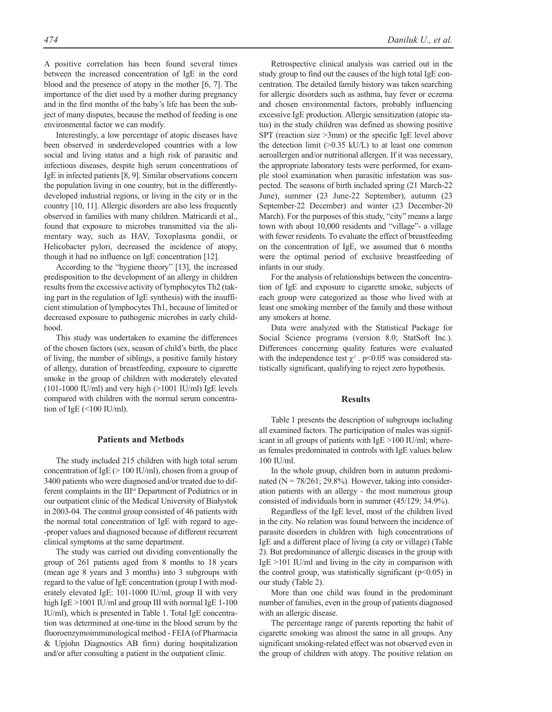A positive correlation has been found several times between the increased concentration of IgE in the cord blood and the presence of atopy in the mother [6, 7]. The importance of the diet used by a mother during pregnancy and in the first months of the baby's life has been the subject of many disputes, because the method of feeding is one environmental factor we can modify.

Interestingly, a low percentage of atopic diseases have been observed in underdeveloped countries with a low social and living status and a high risk of parasitic and infectious diseases, despite high serum concentrations of IgE in infected patients [8, 9]. Similar observations concern the population living in one country, but in the differentlydeveloped industrial regions, or living in the city or in the country [10, 11]. Allergic disorders are also less frequently observed in families with many children. Matricardi et al., found that exposure to microbes transmitted via the alimentary way, such as HAV, Toxoplasma gondii, or Helicobacter pylori, decreased the incidence of atopy, though it had no influence on IgE concentration [12].

According to the "hygiene theory" [13], the increased predisposition to the development of an allergy in children results from the excessive activity of lymphocytes Th2 (taking part in the regulation of IgE synthesis) with the insufficient stimulation of lymphocytes Th1, because of limited or decreased exposure to pathogenic microbes in early childhood.

This study was undertaken to examine the differences of the chosen factors (sex, season of child's birth, the place of living, the number of siblings, a positive family history of allergy, duration of breastfeeding, exposure to cigarette smoke in the group of children with moderately elevated (101-1000 IU/ml) and very high  $(>1001$  IU/ml) IgE levels compared with children with the normal serum concentration of IgE (<100 IU/ml).

#### **Patients and Methods**

The study included 215 children with high total serum concentration of IgE  $(> 100 \text{ IU/ml})$ , chosen from a group of 3400 patients who were diagnosed and/or treated due to different complaints in the IIIrd Department of Pediatrics or in our outpatient clinic of the Medical University of Białystok in 2003-04. The control group consisted of 46 patients with the normal total concentration of IgE with regard to age- -proper values and diagnosed because of different recurrent clinical symptoms at the same department.

The study was carried out dividing conventionally the group of 261 patients aged from 8 months to 18 years (mean age 8 years and 3 months) into 3 subgroups with regard to the value of IgE concentration (group I with moderately elevated IgE: 101-1000 IU/ml, group II with very high IgE >1001 IU/ml and group III with normal IgE 1-100 IU/ml), which is presented in Table 1. Total IgE concentration was determined at one-time in the blood serum by the fluoroenzymoimmunological method - FEIA (of Pharmacia & Upjohn Diagnostics AB firm) during hospitalization and/or after consulting a patient in the outpatient clinic.

Retrospective clinical analysis was carried out in the study group to find out the causes of the high total IgE concentration. The detailed family history was taken searching for allergic disorders such as asthma, hay fever or eczema and chosen environmental factors, probably influencing excessive IgE production. Allergic sensitization (atopic status) in the study children was defined as showing positive SPT (reaction size >3mm) or the specific IgE level above the detection limit  $(>0.35 \text{ kU/L})$  to at least one common aeroallergen and/or nutritional allergen. If it was necessary, the appropriate laboratory tests were performed, for example stool examination when parasitic infestation was suspected. The seasons of birth included spring (21 March-22 June), summer (23 June-22 September), autumn (23 September-22 December) and winter (23 December-20 March). For the purposes of this study, "city" means a large town with about 10,000 residents and "village"- a village with fewer residents. To evaluate the effect of breastfeeding on the concentration of IgE, we assumed that 6 months were the optimal period of exclusive breastfeeding of infants in our study.

For the analysis of relationships between the concentration of IgE and exposure to cigarette smoke, subjects of each group were categorized as those who lived with at least one smoking member of the family and those without any smokers at home.

Data were analyzed with the Statistical Package for Social Science programs (version 8.0; StatSoft Inc.). Differences concerning quality features were evaluated with the independence test  $\gamma^2$ . p<0.05 was considered statistically significant, qualifying to reject zero hypothesis.

## **Results**

Table 1 presents the description of subgroups including all examined factors. The participation of males was significant in all groups of patients with IgE >100 IU/ml; whereas females predominated in controls with IgE values below 100 IU/ml.

In the whole group, children born in autumn predominated ( $N = 78/261$ ; 29.8%). However, taking into consideration patients with an allergy - the most numerous group consisted of individuals born in summer (45/129; 34.9%).

Regardless of the IgE level, most of the children lived in the city. No relation was found between the incidence of parasite disorders in children with high concentrations of IgE and a different place of living (a city or village) (Table 2). But predominance of allergic diseases in the group with  $IgE > 101$  IU/ml and living in the city in comparison with the control group, was statistically significant ( $p$ <0.05) in our study (Table 2).

More than one child was found in the predominant number of families, even in the group of patients diagnosed with an allergic disease.

The percentage range of parents reporting the habit of cigarette smoking was almost the same in all groups. Any significant smoking-related effect was not observed even in the group of children with atopy. The positive relation on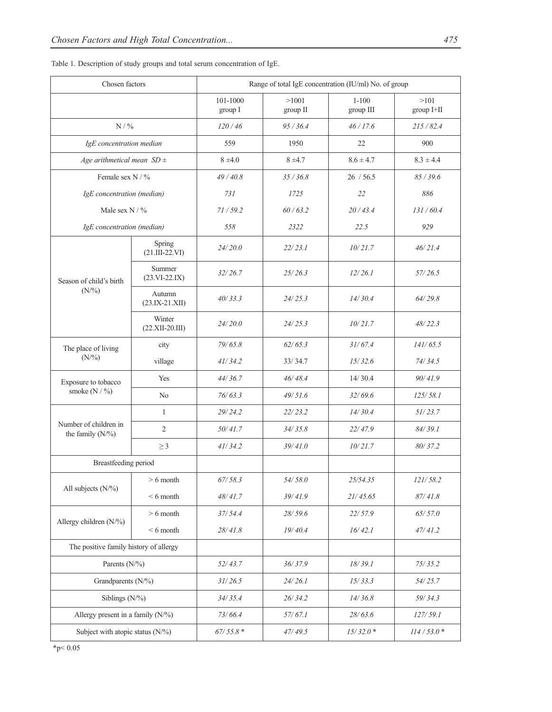| Chosen factors                              |                             | Range of total IgE concentration (IU/ml) No. of group |                   |                        |                    |  |  |
|---------------------------------------------|-----------------------------|-------------------------------------------------------|-------------------|------------------------|--------------------|--|--|
|                                             |                             | 101-1000<br>group I                                   | >1001<br>group II | $1 - 100$<br>group III | >101<br>group I+II |  |  |
| $N$ / $\%$                                  |                             | 120/46                                                | 95/36.4           | 46/17.6                | 215/82.4           |  |  |
| IgE concentration median                    |                             | 559                                                   | 1950              | 22                     | 900                |  |  |
| Age arithmetical mean $SD \pm$              |                             | $8 \pm 4.0$                                           | $8 + 4.7$         | $8.6 \pm 4.7$          | $8.3 \pm 4.4$      |  |  |
| Female sex N / %                            |                             | 49/40.8                                               | 35/36.8           | 26 / 56.5              | 85/39.6            |  |  |
| IgE concentration (median)                  |                             | 731                                                   | 1725              | 22                     | 886                |  |  |
| Male sex $N / \%$                           |                             | 71/59.2                                               | 60/63.2           | 20/43.4                | 131/60.4           |  |  |
| IgE concentration (median)                  |                             | 558                                                   | 2322              | 22.5                   | 929                |  |  |
| Season of child's birth<br>$(N\frac{9}{6})$ | Spring<br>$(21.III-22.VI)$  | 24/20.0                                               | 22/23.1           | 10/21.7                | 46/21.4            |  |  |
|                                             | Summer<br>$(23.VI-22.IX)$   | 32/26.7                                               | 25/26.3           | 12/26.1                | 57/26.5            |  |  |
|                                             | Autumn<br>$(23.IX-21.XII)$  | 40/33.3                                               | 24/25.3           | 14/30.4                | 64/29.8            |  |  |
|                                             | Winter<br>$(22.XII-20.III)$ | 24/20.0                                               | 24/25.3           | 10/21.7                | 48/22.3            |  |  |
| The place of living<br>$(N\frac{9}{6})$     | city                        | 79/65.8                                               | 62/65.3           | 31/67.4                | 141/65.5           |  |  |
|                                             | village                     | 41/34.2                                               | 33/34.7           | 15/32.6                | 74/34.5            |  |  |
| Exposure to tobacco<br>smoke $(N / \%)$     | Yes                         | 44/36.7                                               | 46/48.4           | 14/30.4                | 90/41.9            |  |  |
|                                             | N <sub>o</sub>              | 76/63.3                                               | 49/51.6           | 32/69.6                | 125/58.1           |  |  |
|                                             | $\mathbf{1}$                | 29/24.2                                               | 22/23.2           | 14/30.4                | 51/23.7            |  |  |
| Number of children in<br>the family $(N\%)$ | $\overline{2}$              | 50/41.7                                               | 34/35.8           | 22/47.9                | 84/39.1            |  |  |
|                                             | $\geq$ 3                    | 41/34.2                                               | 39/41.0           | 10/21.7                | 80/37.2            |  |  |
| Breastfeeding period                        |                             |                                                       |                   |                        |                    |  |  |
| All subjects $(N\frac{9}{6})$               | $> 6$ month                 | 67/58.3                                               | 54/58.0           | 25/54.35               | 121/58.2           |  |  |
|                                             | $< 6$ month                 | 48/41.7                                               | 39/41.9           | 21/45.65               | 87/41.8            |  |  |
| Allergy children (N/%)                      | $> 6$ month                 | 37/54.4                                               | 28/59.6           | 22/57.9                | 65/57.0            |  |  |
|                                             | $< 6$ month                 | 28/41.8                                               | 19/40.4           | 16/42.1                | 47/41.2            |  |  |
| The positive family history of allergy      |                             |                                                       |                   |                        |                    |  |  |
| Parents $(N\frac{9}{6})$                    |                             | 52/43.7                                               | 36/37.9           | 18/39.1                | 75/35.2            |  |  |
| Grandparents (N/%)                          |                             | 31/26.5                                               | 24/26.1           | 15/33.3                | 54/25.7            |  |  |
| Siblings (N/%)                              |                             | 34/35.4                                               | 26/34.2           | 14/36.8                | 59/34.3            |  |  |
| Allergy present in a family $(N\%)$         |                             | 73/66.4                                               | 57/67.1           | 28/63.6                | 127/59.1           |  |  |
| Subject with atopic status $(N\%)$          |                             | $67/55.8*$                                            | 47/49.5           | $15/32.0*$             | $114/53.0*$        |  |  |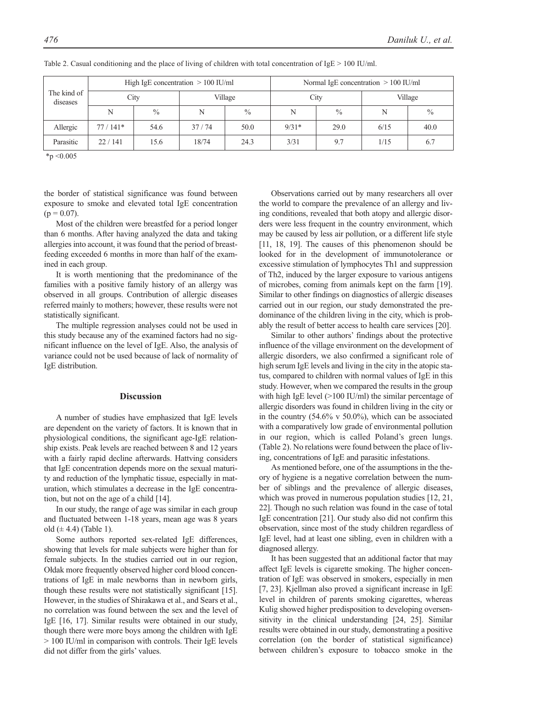| The kind of<br>diseases | High IgE concentration $> 100$ IU/ml |               |         |               | Normal IgE concentration $> 100$ IU/ml |               |         |               |
|-------------------------|--------------------------------------|---------------|---------|---------------|----------------------------------------|---------------|---------|---------------|
|                         | City                                 |               | Village |               | City                                   |               | Village |               |
|                         | N                                    | $\frac{0}{0}$ | N       | $\frac{0}{0}$ | N                                      | $\frac{0}{0}$ | N       | $\frac{0}{0}$ |
| Allergic                | $77/141*$                            | 54.6          | 37/74   | 50.0          | $9/31*$                                | 29.0          | 6/15    | 40.0          |
| Parasitic               | 22/141                               | 15.6          | 18/74   | 24.3          | 3/31                                   | 9.7           | 1/15    | 6.7           |

Table 2. Casual conditioning and the place of living of children with total concentration of IgE > 100 IU/ml.

 $*_{p}$  <0.005

the border of statistical significance was found between exposure to smoke and elevated total IgE concentration  $(p = 0.07)$ .

Most of the children were breastfed for a period longer than 6 months. After having analyzed the data and taking allergies into account, it was found that the period of breastfeeding exceeded 6 months in more than half of the examined in each group.

It is worth mentioning that the predominance of the families with a positive family history of an allergy was observed in all groups. Contribution of allergic diseases referred mainly to mothers; however, these results were not statistically significant.

The multiple regression analyses could not be used in this study because any of the examined factors had no significant influence on the level of IgE. Also, the analysis of variance could not be used because of lack of normality of IgE distribution.

# **Discussion**

A number of studies have emphasized that IgE levels are dependent on the variety of factors. It is known that in physiological conditions, the significant age-IgE relationship exists. Peak levels are reached between 8 and 12 years with a fairly rapid decline afterwards. Hattving considers that IgE concentration depends more on the sexual maturity and reduction of the lymphatic tissue, especially in maturation, which stimulates a decrease in the IgE concentration, but not on the age of a child [14].

In our study, the range of age was similar in each group and fluctuated between 1-18 years, mean age was 8 years old  $(\pm 4.4)$  (Table 1).

Some authors reported sex-related IgE differences, showing that levels for male subjects were higher than for female subjects. In the studies carried out in our region, Ołdak more frequently observed higher cord blood concentrations of IgE in male newborns than in newborn girls, though these results were not statistically significant [15]. However, in the studies of Shirakawa et al., and Sears et al., no correlation was found between the sex and the level of IgE [16, 17]. Similar results were obtained in our study, though there were more boys among the children with IgE > 100 IU/ml in comparison with controls. Their IgE levels did not differ from the girls' values.

Observations carried out by many researchers all over the world to compare the prevalence of an allergy and living conditions, revealed that both atopy and allergic disorders were less frequent in the country environment, which may be caused by less air pollution, or a different life style [11, 18, 19]. The causes of this phenomenon should be looked for in the development of immunotolerance or excessive stimulation of lymphocytes Th1 and suppression of Th2, induced by the larger exposure to various antigens of microbes, coming from animals kept on the farm [19]. Similar to other findings on diagnostics of allergic diseases carried out in our region, our study demonstrated the predominance of the children living in the city, which is probably the result of better access to health care services [20].

Similar to other authors' findings about the protective influence of the village environment on the development of allergic disorders, we also confirmed a significant role of high serum IgE levels and living in the city in the atopic status, compared to children with normal values of IgE in this study. However, when we compared the results in the group with high IgE level (>100 IU/ml) the similar percentage of allergic disorders was found in children living in the city or in the country (54.6% v 50.0%), which can be associated with a comparatively low grade of environmental pollution in our region, which is called Poland's green lungs. (Table 2). No relations were found between the place of living, concentrations of IgE and parasitic infestations.

As mentioned before, one of the assumptions in the theory of hygiene is a negative correlation between the number of siblings and the prevalence of allergic diseases, which was proved in numerous population studies [12, 21, 22]. Though no such relation was found in the case of total IgE concentration [21]. Our study also did not confirm this observation, since most of the study children regardless of IgE level, had at least one sibling, even in children with a diagnosed allergy.

It has been suggested that an additional factor that may affect IgE levels is cigarette smoking. The higher concentration of IgE was observed in smokers, especially in men [7, 23]. Kjellman also proved a significant increase in IgE level in children of parents smoking cigarettes, whereas Kulig showed higher predisposition to developing oversensitivity in the clinical understanding [24, 25]. Similar results were obtained in our study, demonstrating a positive correlation (on the border of statistical significance) between children's exposure to tobacco smoke in the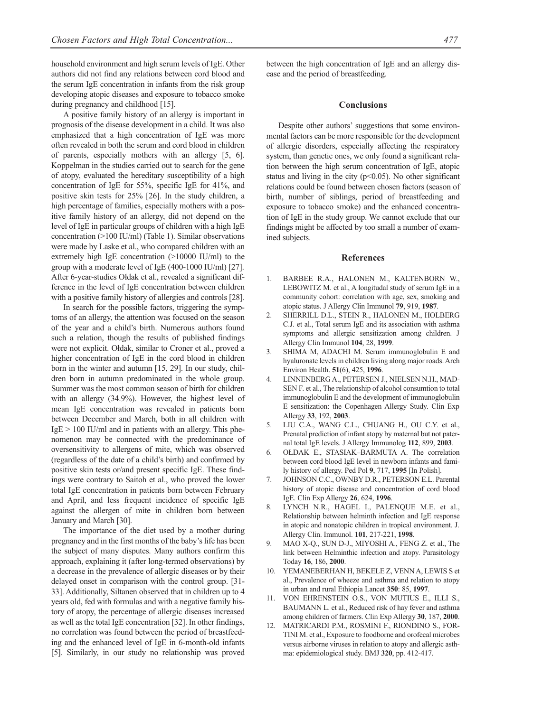household environment and high serum levels of IgE. Other authors did not find any relations between cord blood and the serum IgE concentration in infants from the risk group developing atopic diseases and exposure to tobacco smoke during pregnancy and childhood [15].

A positive family history of an allergy is important in prognosis of the disease development in a child. It was also emphasized that a high concentration of IgE was more often revealed in both the serum and cord blood in children of parents, especially mothers with an allergy [5, 6]. Koppelman in the studies carried out to search for the gene of atopy, evaluated the hereditary susceptibility of a high concentration of IgE for 55%, specific IgE for 41%, and positive skin tests for 25% [26]. In the study children, a high percentage of families, especially mothers with a positive family history of an allergy, did not depend on the level of IgE in particular groups of children with a high IgE concentration (>100 IU/ml) (Table 1). Similar observations were made by Laske et al., who compared children with an extremely high IgE concentration (>10000 IU/ml) to the group with a moderate level of IgE (400-1000 IU/ml) [27]. After 6-year-studies Ołdak et al., revealed a significant difference in the level of IgE concentration between children with a positive family history of allergies and controls [28].

In search for the possible factors, triggering the symptoms of an allergy, the attention was focused on the season of the year and a child's birth. Numerous authors found such a relation, though the results of published findings were not explicit. Ołdak, similar to Croner et al., proved a higher concentration of IgE in the cord blood in children born in the winter and autumn [15, 29]. In our study, children born in autumn predominated in the whole group. Summer was the most common season of birth for children with an allergy (34.9%). However, the highest level of mean IgE concentration was revealed in patients born between December and March, both in all children with  $IgE > 100$  IU/ml and in patients with an allergy. This phenomenon may be connected with the predominance of oversensitivity to allergens of mite, which was observed (regardless of the date of a child's birth) and confirmed by positive skin tests or/and present specific IgE. These findings were contrary to Saitoh et al., who proved the lower total IgE concentration in patients born between February and April, and less frequent incidence of specific IgE against the allergen of mite in children born between January and March [30].

The importance of the diet used by a mother during pregnancy and in the first months of the baby's life has been the subject of many disputes. Many authors confirm this approach, explaining it (after long-termed observations) by a decrease in the prevalence of allergic diseases or by their delayed onset in comparison with the control group. [31- 33]. Additionally, Siltanen observed that in children up to 4 years old, fed with formulas and with a negative family history of atopy, the percentage of allergic diseases increased as well as the total IgE concentration [32]. In other findings, no correlation was found between the period of breastfeeding and the enhanced level of IgE in 6-month-old infants [5]. Similarly, in our study no relationship was proved

#### **Conclusions**

Despite other authors' suggestions that some environmental factors can be more responsible for the development of allergic disorders, especially affecting the respiratory system, than genetic ones, we only found a significant relation between the high serum concentration of IgE, atopic status and living in the city  $(p<0.05)$ . No other significant relations could be found between chosen factors (season of birth, number of siblings, period of breastfeeding and exposure to tobacco smoke) and the enhanced concentration of IgE in the study group. We cannot exclude that our findings might be affected by too small a number of examined subjects.

#### **References**

- 1. BARBEE R.A., HALONEN M., KALTENBORN W., LEBOWITZ M. et al., A longitudal study of serum IgE in a community cohort: correlation with age, sex, smoking and atopic status. J Allergy Clin Immunol **79**, 919, **1987**.
- 2. SHERRILL D.L., STEIN R., HALONEN M., HOLBERG C.J. et al., Total serum IgE and its association with asthma symptoms and allergic sensitization among children. J Allergy Clin Immunol **104**, 28, **1999**.
- 3. SHIMA M, ADACHI M. Serum immunoglobulin E and hyaluronate levels in children living along major roads. Arch Environ Health. **51**(6), 425, **1996**.
- 4. LINNENBERG A., PETERSEN J., NIELSEN N.H., MAD-SEN F. et al., The relationship of alcohol consumtion to total immunoglobulin E and the development of immunoglobulin E sensitization: the Copenhagen Allergy Study. Clin Exp Allergy **33**, 192, **2003**.
- 5. LIU C.A., WANG C.L., CHUANG H., OU C.Y. et al., Prenatal prediction of infant atopy by maternal but not paternal total IgE levels. J Allergy Immunolog **112**, 899, **2003**.
- 6. OŁDAK E., STASIAK–BARMUTA A. The correlation between cord blood IgE level in newborn infants and family history of allergy. Ped Pol **9**, 717, **1995** [In Polish].
- 7. JOHNSON C.C., OWNBY D.R., PETERSON E.L. Parental history of atopic disease and concentration of cord blood IgE. Clin Exp Allergy **26**, 624, **1996**.
- 8. LYNCH N.R., HAGEL I., PALENQUE M.E. et al., Relationship between helminth infection and IgE response in atopic and nonatopic children in tropical environment. J. Allergy Clin. Immunol. **101**, 217-221, **1998**.
- 9. MAO X-Q., SUN D-J., MIYOSHI A., FENG Z. et al., The link between Helminthic infection and atopy. Parasitology Today **16**, 186, **2000**.
- 10. YEMANEBERHAN H, BEKELE Z, VENN A, LEWIS S et al., Prevalence of wheeze and asthma and relation to atopy in urban and rural Ethiopia Lancet **350**: 85, **1997**.
- 11. VON EHRENSTEIN O.S., VON MUTIUS E., ILLI S., BAUMANN L. et al., Reduced risk of hay fever and asthma among children of farmers. Clin Exp Allergy **30**, 187, **2000**.
- 12. MATRICARDI P.M., ROSMINI F., RIONDINO S., FOR-TINI M. et al., Exposure to foodborne and orofecal microbes versus airborne viruses in relation to atopy and allergic asthma: epidemiological study. BMJ **320**, pp. 412-417.